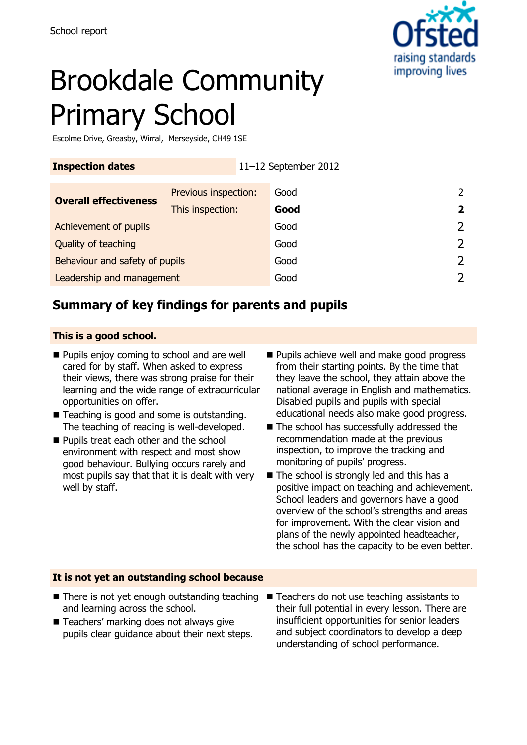

# Brookdale Community Primary School

Escolme Drive, Greasby, Wirral, Merseyside, CH49 1SE

| <b>Inspection dates</b>        |                      | 11-12 September 2012 |      |   |
|--------------------------------|----------------------|----------------------|------|---|
| <b>Overall effectiveness</b>   | Previous inspection: |                      | Good |   |
|                                | This inspection:     |                      | Good | 2 |
| Achievement of pupils          |                      |                      | Good |   |
| Quality of teaching            |                      |                      | Good |   |
| Behaviour and safety of pupils |                      |                      | Good |   |
| Leadership and management      |                      |                      | Good |   |

# **Summary of key findings for parents and pupils**

#### **This is a good school.**

- **Pupils enjoy coming to school and are well** cared for by staff. When asked to express their views, there was strong praise for their learning and the wide range of extracurricular opportunities on offer.
- Teaching is good and some is outstanding. The teaching of reading is well-developed.
- Pupils treat each other and the school environment with respect and most show good behaviour. Bullying occurs rarely and most pupils say that that it is dealt with very well by staff.
- **Pupils achieve well and make good progress** from their starting points. By the time that they leave the school, they attain above the national average in English and mathematics. Disabled pupils and pupils with special educational needs also make good progress.
- The school has successfully addressed the recommendation made at the previous inspection, to improve the tracking and monitoring of pupils' progress.
- The school is strongly led and this has a positive impact on teaching and achievement. School leaders and governors have a good overview of the school's strengths and areas for improvement. With the clear vision and plans of the newly appointed headteacher, the school has the capacity to be even better.

#### **It is not yet an outstanding school because**

■ There is not yet enough outstanding teaching ■ Teachers do not use teaching assistants to and learning across the school. ■ Teachers' marking does not always give pupils clear guidance about their next steps. their full potential in every lesson. There are insufficient opportunities for senior leaders and subject coordinators to develop a deep understanding of school performance.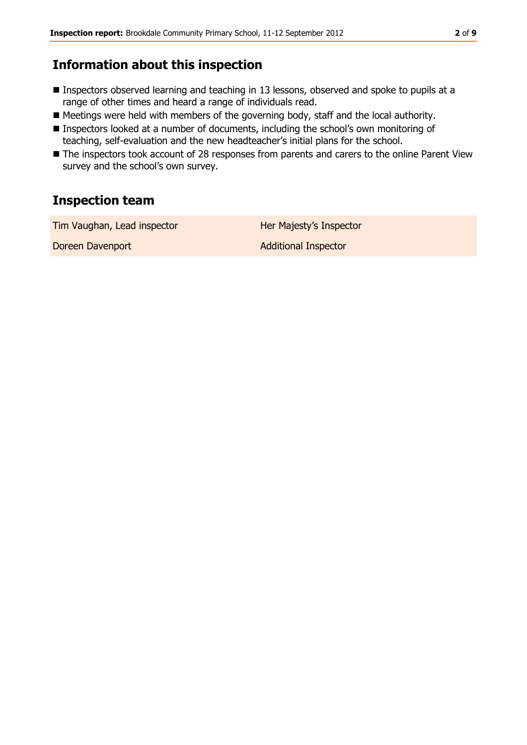## **Information about this inspection**

- Inspectors observed learning and teaching in 13 lessons, observed and spoke to pupils at a range of other times and heard a range of individuals read.
- Meetings were held with members of the governing body, staff and the local authority.
- Inspectors looked at a number of documents, including the school's own monitoring of teaching, self-evaluation and the new headteacher's initial plans for the school.
- The inspectors took account of 28 responses from parents and carers to the online Parent View survey and the school's own survey.

# **Inspection team**

Tim Vaughan, Lead inspector **Her Majesty's Inspector** 

**Doreen Davenport Contract Contract Additional Inspector**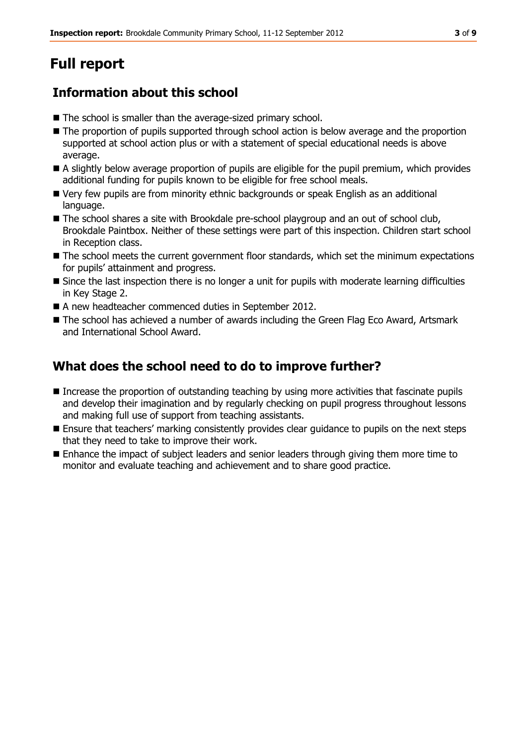# **Full report**

# **Information about this school**

- The school is smaller than the average-sized primary school.
- The proportion of pupils supported through school action is below average and the proportion supported at school action plus or with a statement of special educational needs is above average.
- A slightly below average proportion of pupils are eligible for the pupil premium, which provides additional funding for pupils known to be eligible for free school meals.
- Very few pupils are from minority ethnic backgrounds or speak English as an additional language.
- The school shares a site with Brookdale pre-school playgroup and an out of school club, Brookdale Paintbox. Neither of these settings were part of this inspection. Children start school in Reception class.
- The school meets the current government floor standards, which set the minimum expectations for pupils' attainment and progress.
- Since the last inspection there is no longer a unit for pupils with moderate learning difficulties in Key Stage 2.
- A new headteacher commenced duties in September 2012.
- The school has achieved a number of awards including the Green Flag Eco Award, Artsmark and International School Award.

### **What does the school need to do to improve further?**

- Increase the proportion of outstanding teaching by using more activities that fascinate pupils and develop their imagination and by regularly checking on pupil progress throughout lessons and making full use of support from teaching assistants.
- **E** Ensure that teachers' marking consistently provides clear guidance to pupils on the next steps that they need to take to improve their work.
- Enhance the impact of subject leaders and senior leaders through giving them more time to monitor and evaluate teaching and achievement and to share good practice.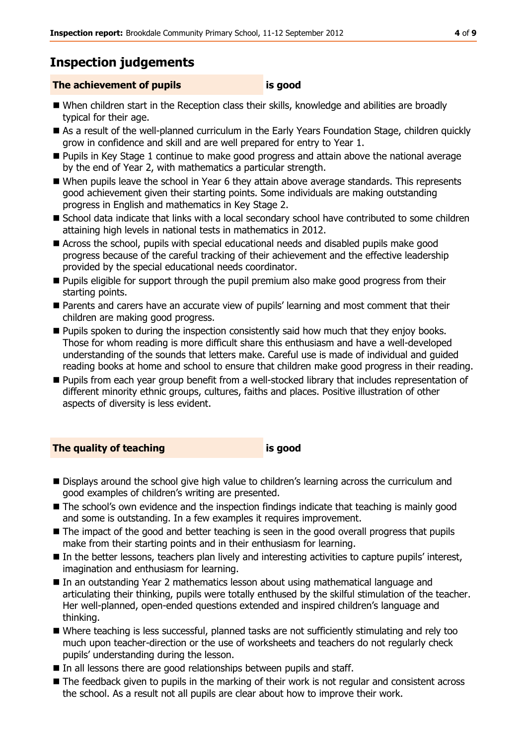# **Inspection judgements**

#### **The achievement of pupils is good**

- When children start in the Reception class their skills, knowledge and abilities are broadly typical for their age.
- As a result of the well-planned curriculum in the Early Years Foundation Stage, children quickly grow in confidence and skill and are well prepared for entry to Year 1.
- Pupils in Key Stage 1 continue to make good progress and attain above the national average by the end of Year 2, with mathematics a particular strength.
- When pupils leave the school in Year 6 they attain above average standards. This represents good achievement given their starting points. Some individuals are making outstanding progress in English and mathematics in Key Stage 2.
- School data indicate that links with a local secondary school have contributed to some children attaining high levels in national tests in mathematics in 2012.
- Across the school, pupils with special educational needs and disabled pupils make good progress because of the careful tracking of their achievement and the effective leadership provided by the special educational needs coordinator.
- Pupils eligible for support through the pupil premium also make good progress from their starting points.
- Parents and carers have an accurate view of pupils' learning and most comment that their children are making good progress.
- **Pupils spoken to during the inspection consistently said how much that they enjoy books.** Those for whom reading is more difficult share this enthusiasm and have a well-developed understanding of the sounds that letters make. Careful use is made of individual and guided reading books at home and school to ensure that children make good progress in their reading.
- **Pupils from each year group benefit from a well-stocked library that includes representation of** different minority ethnic groups, cultures, faiths and places. Positive illustration of other aspects of diversity is less evident.

#### **The quality of teaching is good**

- Displays around the school give high value to children's learning across the curriculum and good examples of children's writing are presented.
- $\blacksquare$  The school's own evidence and the inspection findings indicate that teaching is mainly good and some is outstanding. In a few examples it requires improvement.
- $\blacksquare$  The impact of the good and better teaching is seen in the good overall progress that pupils make from their starting points and in their enthusiasm for learning.
- In the better lessons, teachers plan lively and interesting activities to capture pupils' interest, imagination and enthusiasm for learning.
- In an outstanding Year 2 mathematics lesson about using mathematical language and articulating their thinking, pupils were totally enthused by the skilful stimulation of the teacher. Her well-planned, open-ended questions extended and inspired children's language and thinking.
- Where teaching is less successful, planned tasks are not sufficiently stimulating and rely too much upon teacher-direction or the use of worksheets and teachers do not regularly check pupils' understanding during the lesson.
- In all lessons there are good relationships between pupils and staff.
- The feedback given to pupils in the marking of their work is not regular and consistent across the school. As a result not all pupils are clear about how to improve their work.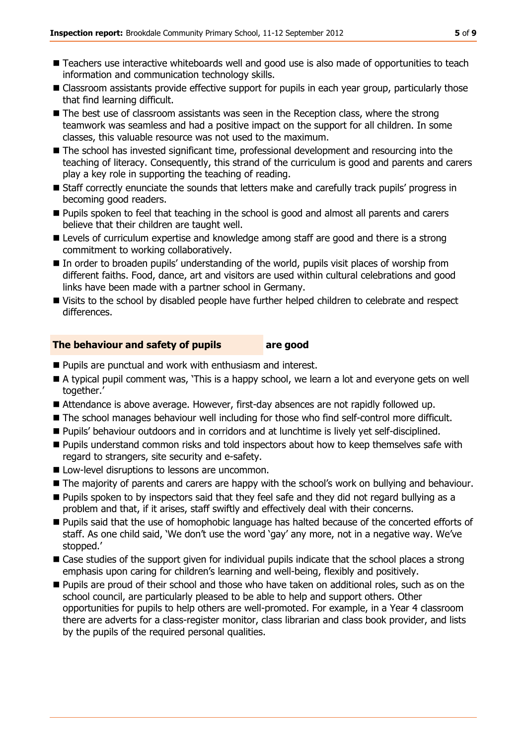- Teachers use interactive whiteboards well and good use is also made of opportunities to teach information and communication technology skills.
- Classroom assistants provide effective support for pupils in each year group, particularly those that find learning difficult.
- $\blacksquare$  The best use of classroom assistants was seen in the Reception class, where the strong teamwork was seamless and had a positive impact on the support for all children. In some classes, this valuable resource was not used to the maximum.
- The school has invested significant time, professional development and resourcing into the teaching of literacy. Consequently, this strand of the curriculum is good and parents and carers play a key role in supporting the teaching of reading.
- Staff correctly enunciate the sounds that letters make and carefully track pupils' progress in becoming good readers.
- **Pupils spoken to feel that teaching in the school is good and almost all parents and carers** believe that their children are taught well.
- **E** Levels of curriculum expertise and knowledge among staff are good and there is a strong commitment to working collaboratively.
- In order to broaden pupils' understanding of the world, pupils visit places of worship from different faiths. Food, dance, art and visitors are used within cultural celebrations and good links have been made with a partner school in Germany.
- Visits to the school by disabled people have further helped children to celebrate and respect differences.

#### **The behaviour and safety of pupils are good**

- **Pupils are punctual and work with enthusiasm and interest.**
- A typical pupil comment was, 'This is a happy school, we learn a lot and everyone gets on well together.'
- Attendance is above average. However, first-day absences are not rapidly followed up.
- The school manages behaviour well including for those who find self-control more difficult.
- **Pupils' behaviour outdoors and in corridors and at lunchtime is lively yet self-disciplined.**
- **Pupils understand common risks and told inspectors about how to keep themselves safe with** regard to strangers, site security and e-safety.
- **Low-level disruptions to lessons are uncommon.**
- $\blacksquare$  The majority of parents and carers are happy with the school's work on bullying and behaviour.
- **Pupils spoken to by inspectors said that they feel safe and they did not regard bullying as a** problem and that, if it arises, staff swiftly and effectively deal with their concerns.
- **Pupils said that the use of homophobic language has halted because of the concerted efforts of** staff. As one child said, 'We don't use the word 'gay' any more, not in a negative way. We've stopped.'
- Case studies of the support given for individual pupils indicate that the school places a strong emphasis upon caring for children's learning and well-being, flexibly and positively.
- **Pupils are proud of their school and those who have taken on additional roles, such as on the** school council, are particularly pleased to be able to help and support others. Other opportunities for pupils to help others are well-promoted. For example, in a Year 4 classroom there are adverts for a class-register monitor, class librarian and class book provider, and lists by the pupils of the required personal qualities.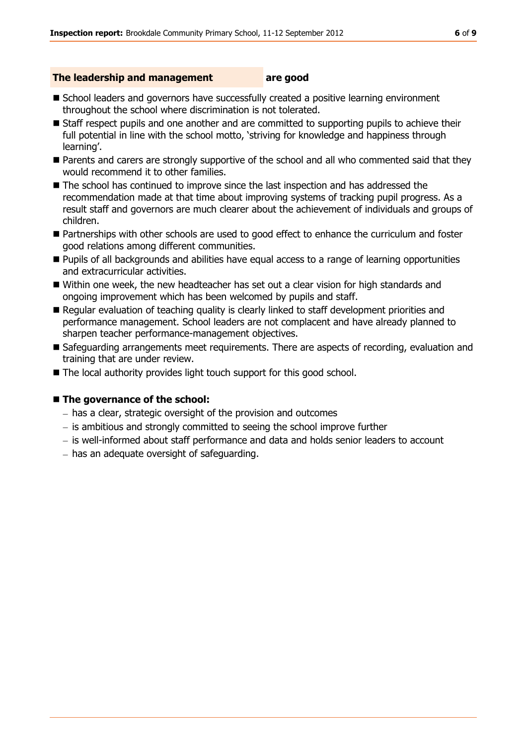#### **The leadership and management are good**

- School leaders and governors have successfully created a positive learning environment throughout the school where discrimination is not tolerated.
- Staff respect pupils and one another and are committed to supporting pupils to achieve their full potential in line with the school motto, 'striving for knowledge and happiness through learning'.
- **Parents and carers are strongly supportive of the school and all who commented said that they** would recommend it to other families.
- The school has continued to improve since the last inspection and has addressed the recommendation made at that time about improving systems of tracking pupil progress. As a result staff and governors are much clearer about the achievement of individuals and groups of children.
- Partnerships with other schools are used to good effect to enhance the curriculum and foster good relations among different communities.
- **Pupils of all backgrounds and abilities have equal access to a range of learning opportunities** and extracurricular activities.
- Within one week, the new headteacher has set out a clear vision for high standards and ongoing improvement which has been welcomed by pupils and staff.
- Regular evaluation of teaching quality is clearly linked to staff development priorities and performance management. School leaders are not complacent and have already planned to sharpen teacher performance-management objectives.
- Safeguarding arrangements meet requirements. There are aspects of recording, evaluation and training that are under review.
- The local authority provides light touch support for this good school.

#### ■ The governance of the school:

- has a clear, strategic oversight of the provision and outcomes
- $-$  is ambitious and strongly committed to seeing the school improve further
- is well-informed about staff performance and data and holds senior leaders to account
- $-$  has an adequate oversight of safeguarding.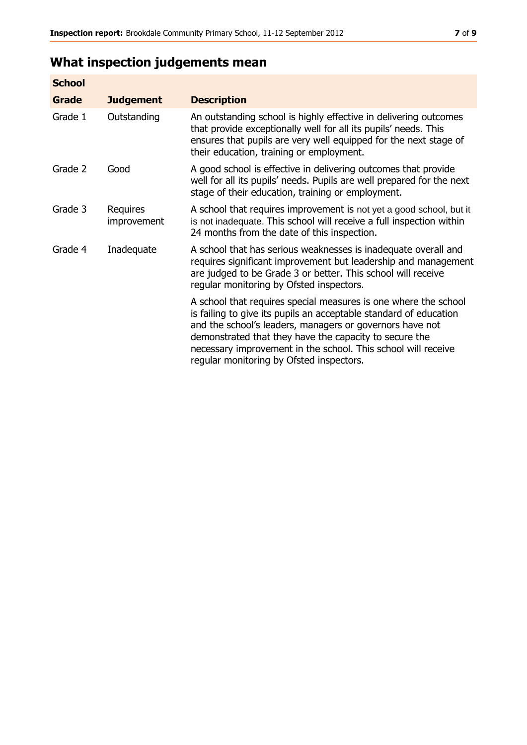# **What inspection judgements mean**

| <b>School</b> |                         |                                                                                                                                                                                                                                                                                                                                                                         |
|---------------|-------------------------|-------------------------------------------------------------------------------------------------------------------------------------------------------------------------------------------------------------------------------------------------------------------------------------------------------------------------------------------------------------------------|
| Grade         | <b>Judgement</b>        | <b>Description</b>                                                                                                                                                                                                                                                                                                                                                      |
| Grade 1       | Outstanding             | An outstanding school is highly effective in delivering outcomes<br>that provide exceptionally well for all its pupils' needs. This<br>ensures that pupils are very well equipped for the next stage of<br>their education, training or employment.                                                                                                                     |
| Grade 2       | Good                    | A good school is effective in delivering outcomes that provide<br>well for all its pupils' needs. Pupils are well prepared for the next<br>stage of their education, training or employment.                                                                                                                                                                            |
| Grade 3       | Requires<br>improvement | A school that requires improvement is not yet a good school, but it<br>is not inadequate. This school will receive a full inspection within<br>24 months from the date of this inspection.                                                                                                                                                                              |
| Grade 4       | Inadequate              | A school that has serious weaknesses is inadequate overall and<br>requires significant improvement but leadership and management<br>are judged to be Grade 3 or better. This school will receive<br>regular monitoring by Ofsted inspectors.                                                                                                                            |
|               |                         | A school that requires special measures is one where the school<br>is failing to give its pupils an acceptable standard of education<br>and the school's leaders, managers or governors have not<br>demonstrated that they have the capacity to secure the<br>necessary improvement in the school. This school will receive<br>regular monitoring by Ofsted inspectors. |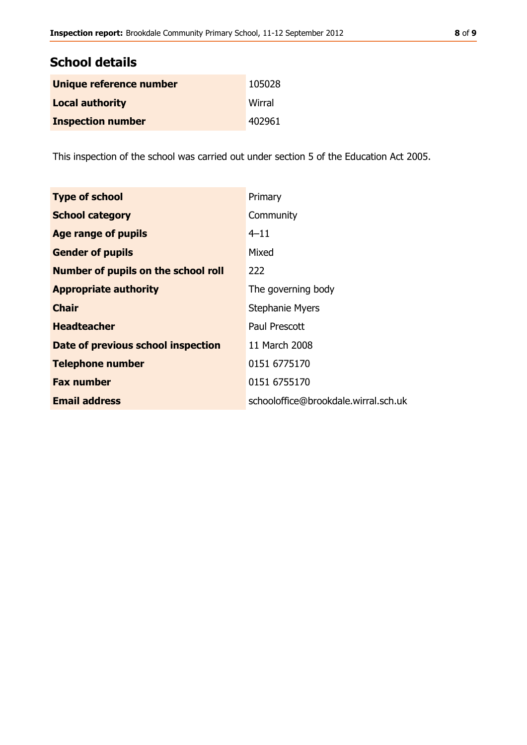| <b>School details</b>    |        |  |  |  |
|--------------------------|--------|--|--|--|
| Unique reference number  | 105028 |  |  |  |
| <b>Local authority</b>   | Wirral |  |  |  |
| <b>Inspection number</b> | 402961 |  |  |  |

This inspection of the school was carried out under section 5 of the Education Act 2005.

| <b>Type of school</b>                      | Primary                              |
|--------------------------------------------|--------------------------------------|
| <b>School category</b>                     | Community                            |
| <b>Age range of pupils</b>                 | $4 - 11$                             |
| <b>Gender of pupils</b>                    | Mixed                                |
| <b>Number of pupils on the school roll</b> | 222                                  |
| <b>Appropriate authority</b>               | The governing body                   |
| <b>Chair</b>                               | <b>Stephanie Myers</b>               |
| <b>Headteacher</b>                         | Paul Prescott                        |
| Date of previous school inspection         | 11 March 2008                        |
| <b>Telephone number</b>                    | 0151 6775170                         |
| <b>Fax number</b>                          | 0151 6755170                         |
| <b>Email address</b>                       | schooloffice@brookdale.wirral.sch.uk |